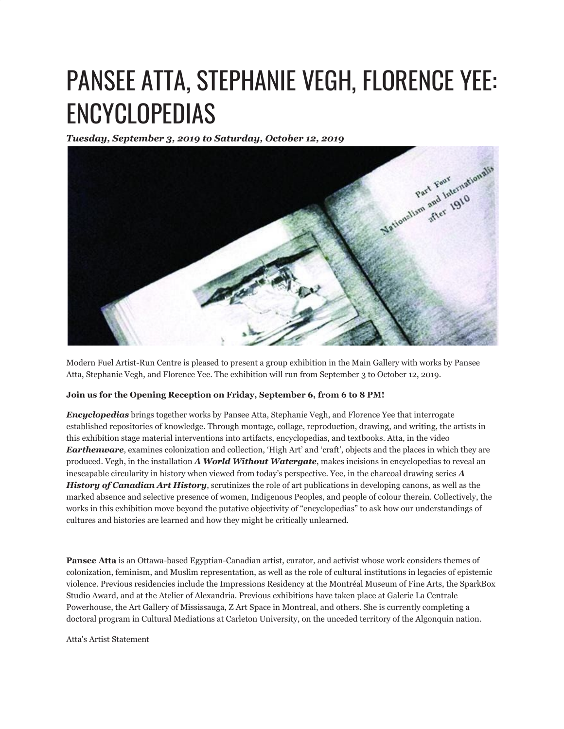# PANSEE ATTA, STEPHANIE VEGH, FLORENCE YEE: ENCYCLOPEDIAS

*Tuesday, September 3, 2019 to Saturday, October 12, 2019*



Modern Fuel Artist-Run Centre is pleased to present a group exhibition in the Main Gallery with works by Pansee Atta, Stephanie Vegh, and Florence Yee. The exhibition will run from September 3 to October 12, 2019.

## **Join us for the Opening Reception on Friday, September 6, from 6 to 8 PM!**

*Encyclopedias* brings together works by Pansee Atta, Stephanie Vegh, and Florence Yee that interrogate established repositories of knowledge. Through montage, collage, reproduction, drawing, and writing, the artists in this exhibition stage material interventions into artifacts, encyclopedias, and textbooks. Atta, in the video *Earthenware*, examines colonization and collection, 'High Art' and 'craft', objects and the places in which they are produced. Vegh, in the installation *A World Without Watergate*, makes incisions in encyclopedias to reveal an inescapable circularity in history when viewed from today's perspective. Yee, in the charcoal drawing series *A History of Canadian Art History*, scrutinizes the role of art publications in developing canons, as well as the marked absence and selective presence of women, Indigenous Peoples, and people of colour therein. Collectively, the works in this exhibition move beyond the putative objectivity of "encyclopedias" to ask how our understandings of cultures and histories are learned and how they might be critically unlearned.

**Pansee Atta** is an Ottawa-based Egyptian-Canadian artist, curator, and activist whose work considers themes of colonization, feminism, and Muslim representation, as well as the role of cultural institutions in legacies of epistemic violence. Previous residencies include the Impressions Residency at the Montréal Museum of Fine Arts, the SparkBox Studio Award, and at the Atelier of Alexandria. Previous exhibitions have taken place at Galerie La Centrale Powerhouse, the Art Gallery of Mississauga, Z Art Space in Montreal, and others. She is currently completing a doctoral program in Cultural Mediations at Carleton University, on the unceded territory of the Algonquin nation.

Atta's Artist Statement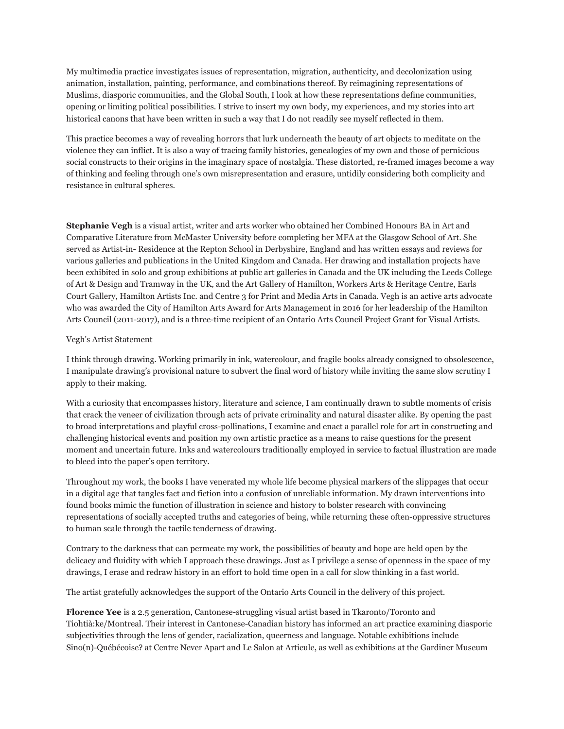My multimedia practice investigates issues of representation, migration, authenticity, and decolonization using animation, installation, painting, performance, and combinations thereof. By reimagining representations of Muslims, diasporic communities, and the Global South, I look at how these representations define communities, opening or limiting political possibilities. I strive to insert my own body, my experiences, and my stories into art historical canons that have been written in such a way that I do not readily see myself reflected in them.

This practice becomes a way of revealing horrors that lurk underneath the beauty of art objects to meditate on the violence they can inflict. It is also a way of tracing family histories, genealogies of my own and those of pernicious social constructs to their origins in the imaginary space of nostalgia. These distorted, re-framed images become a way of thinking and feeling through one's own misrepresentation and erasure, untidily considering both complicity and resistance in cultural spheres.

**Stephanie Vegh** is a visual artist, writer and arts worker who obtained her Combined Honours BA in Art and Comparative Literature from McMaster University before completing her MFA at the Glasgow School of Art. She served as Artist-in- Residence at the Repton School in Derbyshire, England and has written essays and reviews for various galleries and publications in the United Kingdom and Canada. Her drawing and installation projects have been exhibited in solo and group exhibitions at public art galleries in Canada and the UK including the Leeds College of Art & Design and Tramway in the UK, and the Art Gallery of Hamilton, Workers Arts & Heritage Centre, Earls Court Gallery, Hamilton Artists Inc. and Centre 3 for Print and Media Arts in Canada. Vegh is an active arts advocate who was awarded the City of Hamilton Arts Award for Arts Management in 2016 for her leadership of the Hamilton Arts Council (2011-2017), and is a three-time recipient of an Ontario Arts Council Project Grant for Visual Artists.

### Vegh's Artist Statement

I think through drawing. Working primarily in ink, watercolour, and fragile books already consigned to obsolescence, I manipulate drawing's provisional nature to subvert the final word of history while inviting the same slow scrutiny I apply to their making.

With a curiosity that encompasses history, literature and science, I am continually drawn to subtle moments of crisis that crack the veneer of civilization through acts of private criminality and natural disaster alike. By opening the past to broad interpretations and playful cross-pollinations, I examine and enact a parallel role for art in constructing and challenging historical events and position my own artistic practice as a means to raise questions for the present moment and uncertain future. Inks and watercolours traditionally employed in service to factual illustration are made to bleed into the paper's open territory.

Throughout my work, the books I have venerated my whole life become physical markers of the slippages that occur in a digital age that tangles fact and fiction into a confusion of unreliable information. My drawn interventions into found books mimic the function of illustration in science and history to bolster research with convincing representations of socially accepted truths and categories of being, while returning these often-oppressive structures to human scale through the tactile tenderness of drawing.

Contrary to the darkness that can permeate my work, the possibilities of beauty and hope are held open by the delicacy and fluidity with which I approach these drawings. Just as I privilege a sense of openness in the space of my drawings, I erase and redraw history in an effort to hold time open in a call for slow thinking in a fast world.

The artist gratefully acknowledges the support of the Ontario Arts Council in the delivery of this project.

**Florence Yee** is a 2.5 generation, Cantonese-struggling visual artist based in Tkaronto/Toronto and Tiohtià:ke/Montreal. Their interest in Cantonese-Canadian history has informed an art practice examining diasporic subjectivities through the lens of gender, racialization, queerness and language. Notable exhibitions include Sino(n)-Québécoise? at Centre Never Apart and Le Salon at Articule, as well as exhibitions at the Gardiner Museum